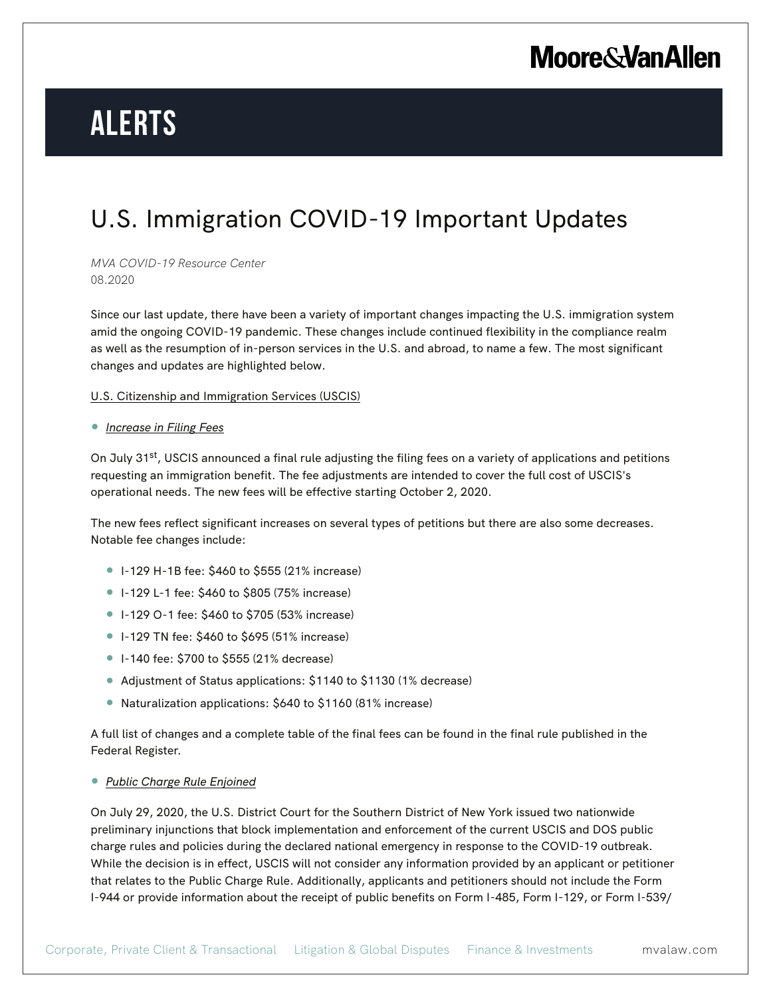# **Moore & Van Allen**

# **Alerts**

### U.S. Immigration COVID-19 Important Updates

*MVA COVID-19 Resource Center* 08.2020

Since our last update, there have been a variety of important changes impacting the U.S. immigration system amid the ongoing COVID-19 pandemic. These changes include continued flexibility in the compliance realm as well as the resumption of in-person services in the U.S. and abroad, to name a few. The most significant changes and updates are highlighted below.

#### U.S. Citizenship and Immigration Services (USCIS)

#### ● *Increase in Filing Fees*

On July 31<sup>st</sup>, USCIS announced a final rule adjusting the filing fees on a variety of applications and petitions requesting an immigration benefit. The fee adjustments are intended to cover the full cost of USCIS's operational needs. The new fees will be effective starting October 2, 2020.

The new fees reflect significant increases on several types of petitions but there are also some decreases. Notable fee changes include:

- I-129 H-1B fee: \$460 to \$555 (21% increase)
- I-129 L-1 fee: \$460 to \$805 (75% increase)
- I-129 O-1 fee: \$460 to \$705 (53% increase)
- I-129 TN fee: \$460 to \$695 (51% increase)
- I-140 fee: \$700 to \$555 (21% decrease)
- Adjustment of Status applications: \$1140 to \$1130 (1% decrease)
- Naturalization applications: \$640 to \$1160 (81% increase)

A full list of changes and a complete table of the final fees can be found in the final rule published in the Federal Register.

#### ● *Public Charge Rule Enjoined*

On July 29, 2020, the U.S. District Court for the Southern District of New York issued two nationwide preliminary injunctions that block implementation and enforcement of the current USCIS and DOS public charge rules and policies during the declared national emergency in response to the COVID-19 outbreak. While the decision is in effect, USCIS will not consider any information provided by an applicant or petitioner that relates to the Public Charge Rule. Additionally, applicants and petitioners should not include the Form I-944 or provide information about the receipt of public benefits on Form I-485, Form I-129, or Form I-539/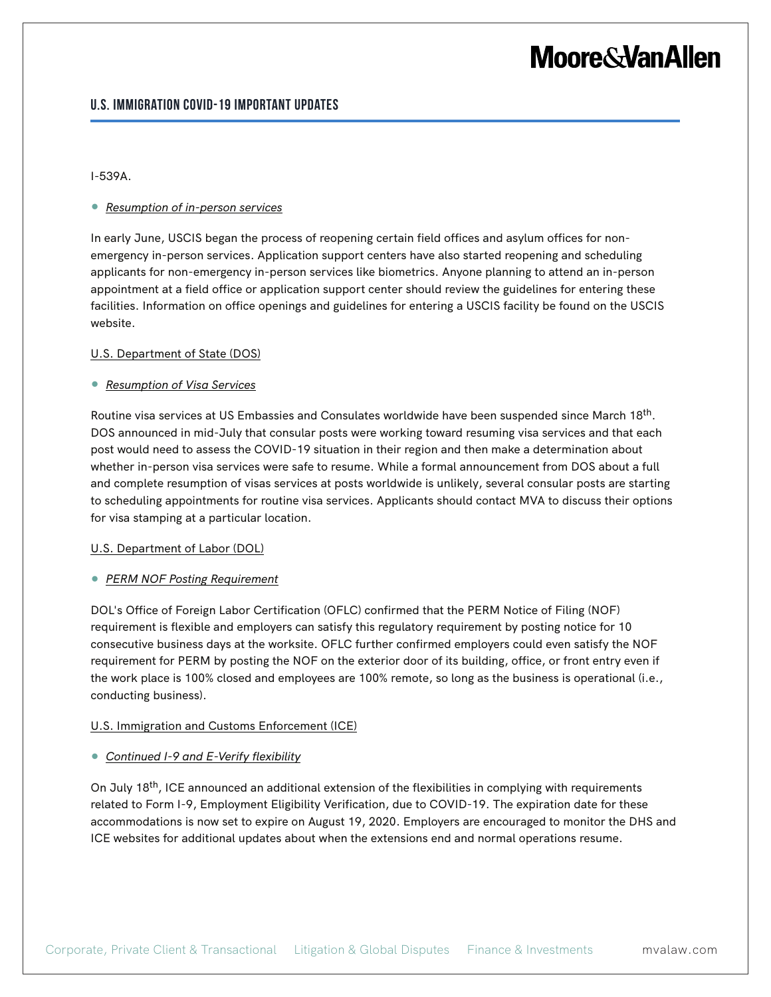## **Moore&VanAllen**

### **U.S. Immigration COVID-19 Important Updates**

#### I-539A.

#### ● *Resumption of in-person services*

In early June, USCIS began the process of reopening certain field offices and asylum offices for nonemergency in-person services. Application support centers have also started reopening and scheduling applicants for non-emergency in-person services like biometrics. Anyone planning to attend an in-person appointment at a field office or application support center should review the guidelines for entering these facilities. Information on office openings and guidelines for entering a USCIS facility be found on the USCIS website.

#### U.S. Department of State (DOS)

#### ● *Resumption of Visa Services*

Routine visa services at US Embassies and Consulates worldwide have been suspended since March 18th. DOS announced in mid-July that consular posts were working toward resuming visa services and that each post would need to assess the COVID-19 situation in their region and then make a determination about whether in-person visa services were safe to resume. While a formal announcement from DOS about a full and complete resumption of visas services at posts worldwide is unlikely, several consular posts are starting to scheduling appointments for routine visa services. Applicants should contact MVA to discuss their options for visa stamping at a particular location.

#### U.S. Department of Labor (DOL)

#### ● *PERM NOF Posting Requirement*

DOL's Office of Foreign Labor Certification (OFLC) confirmed that the PERM Notice of Filing (NOF) requirement is flexible and employers can satisfy this regulatory requirement by posting notice for 10 consecutive business days at the worksite. OFLC further confirmed employers could even satisfy the NOF requirement for PERM by posting the NOF on the exterior door of its building, office, or front entry even if the work place is 100% closed and employees are 100% remote, so long as the business is operational (i.e., conducting business).

#### U.S. Immigration and Customs Enforcement (ICE)

#### ● *Continued I-9 and E-Verify flexibility*

On July 18<sup>th</sup>, ICE announced an additional extension of the flexibilities in complying with requirements related to Form I-9, Employment Eligibility Verification, due to COVID-19. The expiration date for these accommodations is now set to expire on August 19, 2020. Employers are encouraged to monitor the DHS and ICE websites for additional updates about when the extensions end and normal operations resume.